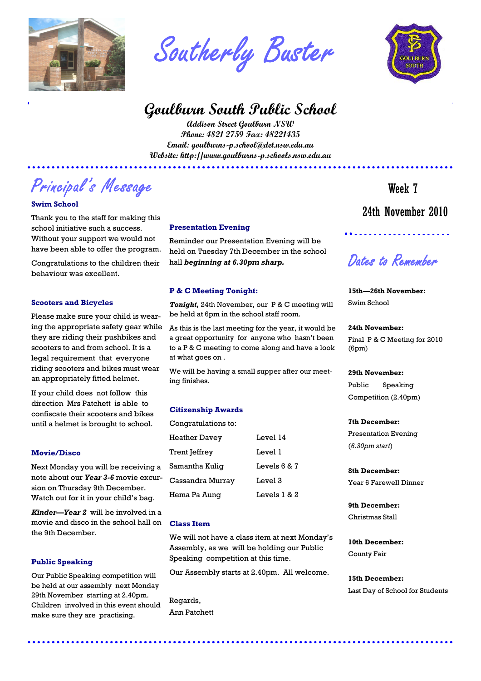

Southerly Buster

# **Goulburn South Public School**

**Addison Street Goulburn NSW Phone: 4821 2759 Fax: 48221435 Email: goulburns-p.school@det.nsw.edu.au Website: http://www.goulburns-p.schools.nsw.edu.au** 

Principal's Message

# **Swim School**

Thank you to the staff for making this school initiative such a success. Without your support we would not have been able to offer the program.

Congratulations to the children their behaviour was excellent.

# **Scooters and Bicycles**

Please make sure your child is wearing the appropriate safety gear while they are riding their pushbikes and scooters to and from school. It is a legal requirement that everyone riding scooters and bikes must wear an appropriately fitted helmet.

If your child does not follow this direction Mrs Patchett is able to confiscate their scooters and bikes until a helmet is brought to school.

# **Movie/Disco**

Next Monday you will be receiving a note about our *Year 3-6* movie excursion on Thursday 9th December. Watch out for it in your child's bag.

*Kinder—Year 2* will be involved in a movie and disco in the school hall on the 9th December.

# **Public Speaking**

Our Public Speaking competition will be held at our assembly next Monday 29th November starting at 2.40pm. Children involved in this event should make sure they are practising.

### **Presentation Evening**

Reminder our Presentation Evening will be held on Tuesday 7th December in the school hall *beginning at 6.30pm sharp.* 

# **P & C Meeting Tonight:**

*Tonight,* 24th November, our P & C meeting will be held at 6pm in the school staff room.

As this is the last meeting for the year, it would be a great opportunity for anyone who hasn't been to a P & C meeting to come along and have a look at what goes on .

We will be having a small supper after our meeting finishes.

# **Citizenship Awards**

| Congratulations to: |                |
|---------------------|----------------|
| Heather Davey       | Level 14       |
| Trent Jeffrey       | Tevel 1        |
| Samantha Kuliq      | Levels $6 & 7$ |
| Cassandra Murrav    | Level 3        |
| Hema Pa Aunq        | Levels $1 & 2$ |
|                     |                |

# **Class Item**

We will not have a class item at next Monday's Assembly, as we will be holding our Public Speaking competition at this time.

Our Assembly starts at 2.40pm. All welcome.

Regards, Ann Patchett



 24th November 2010 Week 7

Dates to Remember

# **15th—26th November:**  Swim School

# **24th November:**

Final P & C Meeting for 2010 (6pm)

### **29th November:**

Public Speaking Competition (2.40pm)

# **7th December:**

Presentation Evening (*6.30pm start*)

**8th December:**  Year 6 Farewell Dinner

**9th December:**  Christmas Stall

**10th December:**  County Fair

**15th December:**  Last Day of School for Students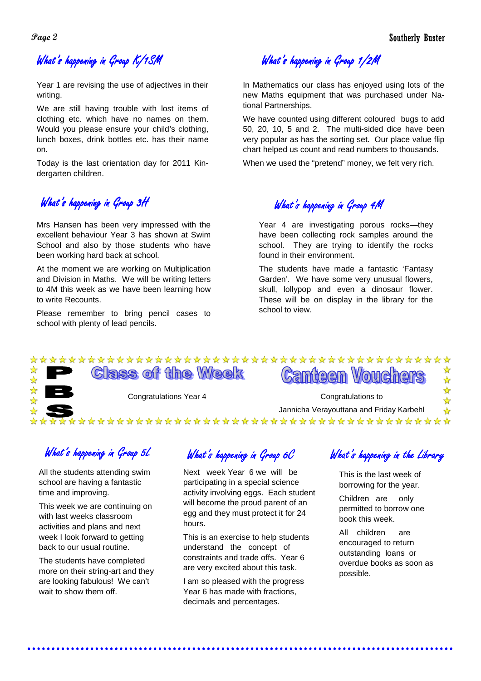# What's happening in Group K/1SM

Year 1 are revising the use of adjectives in their writing.

We are still having trouble with lost items of clothing etc. which have no names on them. Would you please ensure your child's clothing, lunch boxes, drink bottles etc. has their name on.

Today is the last orientation day for 2011 Kindergarten children.

# What's happening in Group 3H hands and the What's happening in Group 4M

Mrs Hansen has been very impressed with the excellent behaviour Year 3 has shown at Swim School and also by those students who have been working hard back at school.

At the moment we are working on Multiplication and Division in Maths. We will be writing letters to 4M this week as we have been learning how to write Recounts.

Please remember to bring pencil cases to school with plenty of lead pencils.

What's happening in Group 1/2M

In Mathematics our class has enjoyed using lots of the new Maths equipment that was purchased under National Partnerships.

We have counted using different coloured bugs to add 50, 20, 10, 5 and 2. The multi-sided dice have been very popular as has the sorting set. Our place value flip chart helped us count and read numbers to thousands.

When we used the "pretend" money, we felt very rich.

Year 4 are investigating porous rocks—they have been collecting rock samples around the school. They are trying to identify the rocks found in their environment.

The students have made a fantastic 'Fantasy Garden'. We have some very unusual flowers, skull, lollypop and even a dinosaur flower. These will be on display in the library for the school to view.

### 外外 **Class of the Week Canteen Vouchers**

Congratulations Year 4 Congratulations to

Jannicha Verayouttana and Friday Karbehl \*\*\*\*\*\*\*\*\*\*\*\*\*\*\*\*\*\*\*\*\*\*\*\*\*\*\*\*\*\*\*\*\*\*\*\*\*\*

What's happening in Group 5L What's happening in Group 6 $\mathcal C$  What's happening in the Library

All the students attending swim school are having a fantastic time and improving.

This week we are continuing on with last weeks classroom activities and plans and next week I look forward to getting back to our usual routine.

The students have completed more on their string-art and they are looking fabulous! We can't wait to show them off.

Next week Year 6 we will be participating in a special science activity involving eggs. Each student will become the proud parent of an egg and they must protect it for 24 hours.

This is an exercise to help students understand the concept of constraints and trade offs. Year 6 are very excited about this task.

I am so pleased with the progress Year 6 has made with fractions, decimals and percentages.

This is the last week of borrowing for the year.

Children are only permitted to borrow one book this week.

All children are encouraged to return outstanding loans or overdue books as soon as possible.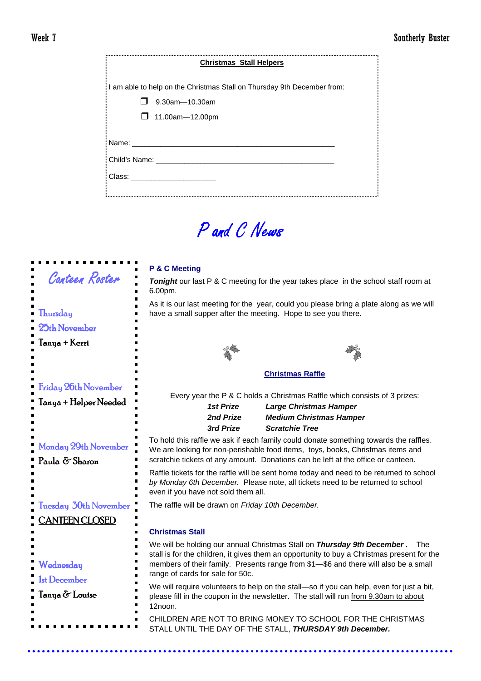| <b>Christmas Stall Helpers</b>                                          |  |  |
|-------------------------------------------------------------------------|--|--|
| I am able to help on the Christmas Stall on Thursday 9th December from: |  |  |
| 9.30am-10.30am                                                          |  |  |
| $\Box$ 11.00am-12.00pm                                                  |  |  |
| Class: _______________________                                          |  |  |